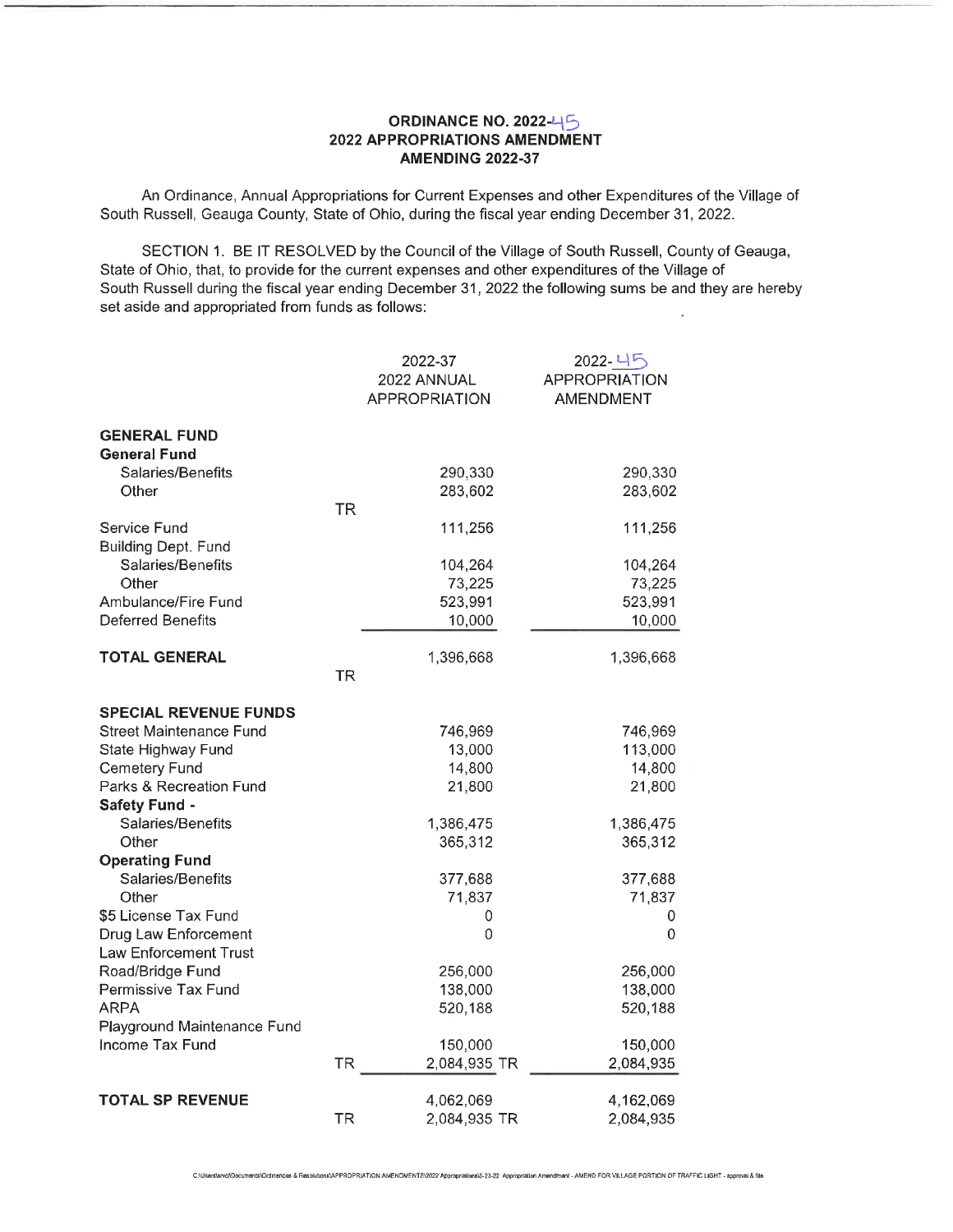## ORDINANCE NO. 2022-45 2022 APPROPRIATIONS AMENDMENT AMENDING 2022-37

An Ordinance, Annual Appropriations for Current Expenses and other Expenditures of the Village of South Russell, Geauga County, State of Ohio, during the fiscal year ending December 31, 2022.

SECTION 1. BE IT RESOLVED by the Council of the Village of South Russell, County of Geauga, State of Ohio, that, to provide for the current expenses and other expenditures of the Village of South Russell during the fiscal year ending December 31, 2022 the following sums be and they are hereby set aside and appropriated from funds as follows:

|                                               |           | 2022-37<br>2022 ANNUAL | 2022-45<br><b>APPROPRIATION</b> |
|-----------------------------------------------|-----------|------------------------|---------------------------------|
|                                               |           | <b>APPROPRIATION</b>   | <b>AMENDMENT</b>                |
| <b>GENERAL FUND</b><br><b>General Fund</b>    |           |                        |                                 |
| Salaries/Benefits                             |           | 290,330                | 290,330                         |
| Other                                         | <b>TR</b> | 283,602                | 283,602                         |
| Service Fund<br>Building Dept. Fund           |           | 111,256                | 111,256                         |
| Salaries/Benefits                             |           | 104,264                | 104,264                         |
| Other                                         |           | 73,225                 | 73,225                          |
| Ambulance/Fire Fund                           |           | 523,991                | 523,991                         |
| <b>Deferred Benefits</b>                      |           | 10,000                 | 10,000                          |
| <b>TOTAL GENERAL</b>                          |           | 1,396,668              | 1,396,668                       |
|                                               | <b>TR</b> |                        |                                 |
| <b>SPECIAL REVENUE FUNDS</b>                  |           |                        |                                 |
| Street Maintenance Fund                       |           | 746,969                | 746,969                         |
| State Highway Fund                            |           | 13,000                 | 113,000                         |
| <b>Cemetery Fund</b>                          |           | 14,800                 | 14,800                          |
| Parks & Recreation Fund                       |           | 21,800                 | 21,800                          |
| <b>Safety Fund -</b>                          |           |                        |                                 |
| Salaries/Benefits<br>Other                    |           | 1,386,475<br>365,312   | 1,386,475<br>365,312            |
| <b>Operating Fund</b>                         |           |                        |                                 |
| Salaries/Benefits                             |           | 377,688                | 377,688                         |
| Other                                         |           | 71,837                 | 71,837                          |
| \$5 License Tax Fund                          |           | 0                      | 0                               |
| Drug Law Enforcement<br>Law Enforcement Trust |           | 0                      | $\Omega$                        |
| Road/Bridge Fund                              |           | 256,000                | 256,000                         |
| Permissive Tax Fund                           |           | 138,000                | 138,000                         |
| ARPA                                          |           | 520,188                | 520,188                         |
| Playground Maintenance Fund                   |           |                        |                                 |
| Income Tax Fund                               |           | 150,000                | 150,000                         |
|                                               | <b>TR</b> | 2,084,935 TR           | 2,084,935                       |
| <b>TOTAL SP REVENUE</b>                       |           | 4,062,069              | 4,162,069                       |
|                                               | <b>TR</b> | 2,084,935 TR           | 2,084,935                       |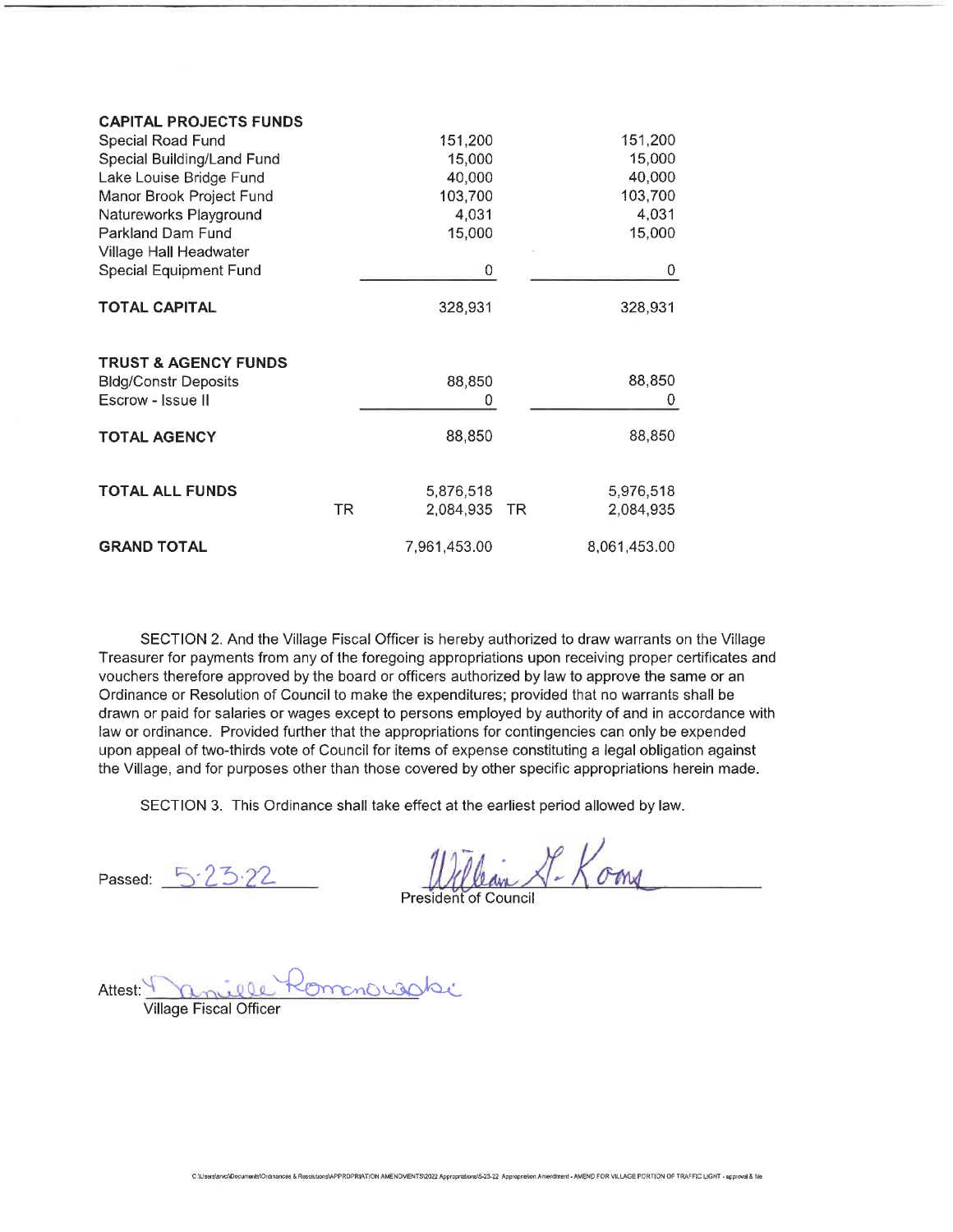| <b>CAPITAL PROJECTS FUNDS</b>   |                 |                 |
|---------------------------------|-----------------|-----------------|
| Special Road Fund               | 151,200         | 151,200         |
| Special Building/Land Fund      | 15,000          | 15,000          |
| Lake Louise Bridge Fund         | 40,000          | 40,000          |
| Manor Brook Project Fund        | 103,700         | 103,700         |
| Natureworks Playground          | 4,031           | 4,031           |
| Parkland Dam Fund               | 15,000          | 15,000          |
| Village Hall Headwater          |                 |                 |
| <b>Special Equipment Fund</b>   | 0               | 0               |
| <b>TOTAL CAPITAL</b>            | 328,931         | 328,931         |
| <b>TRUST &amp; AGENCY FUNDS</b> |                 |                 |
| <b>Bldg/Constr Deposits</b>     | 88,850          | 88,850          |
| Escrow - Issue II               | 0               | 0               |
| <b>TOTAL AGENCY</b>             | 88,850          | 88,850          |
| <b>TOTAL ALL FUNDS</b>          | 5,876,518       | 5,976,518       |
|                                 | TR<br>2,084,935 | 2,084,935<br>TR |
| <b>GRAND TOTAL</b>              | 7,961,453.00    | 8,061,453.00    |

SECTION 2. And the Village Fiscal Officer is hereby authorized to draw warrants on the Village Treasurer for payments from any of the foregoing appropriations upon receiving proper certificates and vouchers therefore approved by the board or officers authorized by law to approve the same or an Ordinance or Resolution of Council to make the expenditures; provided that no warrants shall be drawn or paid for salaries or wages except to persons employed by authority of and in accordance with law or ordinance. Provided further that the appropriations for contingencies can only be expended upon appeal of two-thirds vote of Council for items of expense constituting a legal obligation against the Village, and for purposes other than those covered by other specific appropriations herein made.

SECTION 3. This Ordinance shall take effect at the earliest period allowed by law.

Passed:

William S. Koms

President of Council

Attest: mille Kommond